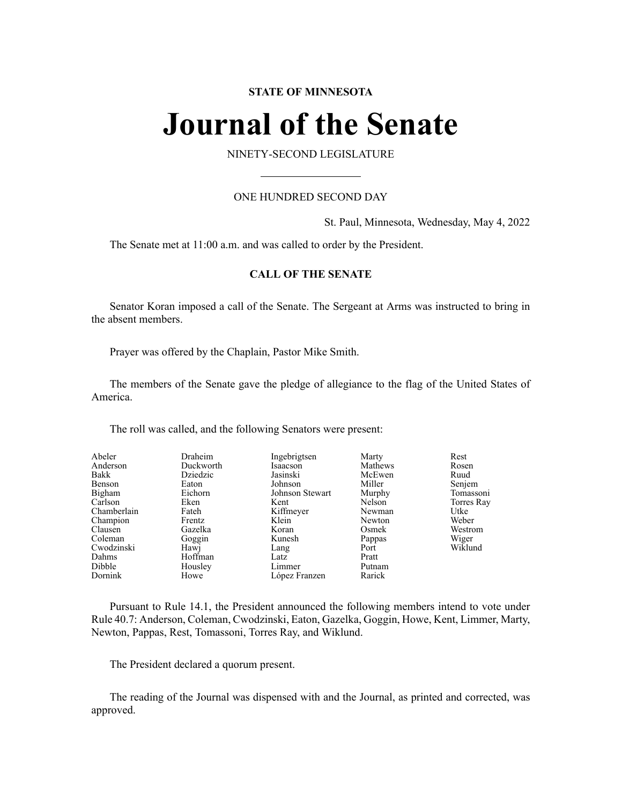# **STATE OF MINNESOTA**

# **Journal of the Senate**

NINETY-SECOND LEGISLATURE

# ONE HUNDRED SECOND DAY

St. Paul, Minnesota, Wednesday, May 4, 2022

The Senate met at 11:00 a.m. and was called to order by the President.

# **CALL OF THE SENATE**

Senator Koran imposed a call of the Senate. The Sergeant at Arms was instructed to bring in the absent members.

Prayer was offered by the Chaplain, Pastor Mike Smith.

The members of the Senate gave the pledge of allegiance to the flag of the United States of America.

The roll was called, and the following Senators were present:

| Abeler      | Draheim   | Ingebrigtsen    | Marty   | Rest       |
|-------------|-----------|-----------------|---------|------------|
| Anderson    | Duckworth | Isaacson        | Mathews | Rosen      |
| Bakk        | Dziedzic  | Jasinski        | McEwen  | Ruud       |
| Benson      | Eaton     | Johnson         | Miller  | Senjem     |
| Bigham      | Eichorn   | Johnson Stewart | Murphy  | Tomassoni  |
| Carlson     | Eken      | Kent            | Nelson  | Torres Ray |
| Chamberlain | Fateh     | Kiffmeyer       | Newman  | Utke       |
| Champion    | Frentz    | Klein           | Newton  | Weber      |
| Clausen     | Gazelka   | Koran           | Osmek   | Westrom    |
| Coleman     | Goggin    | Kunesh          | Pappas  | Wiger      |
| Cwodzinski  | Hawj      | Lang            | Port    | Wiklund    |
| Dahms       | Hoffman   | Latz            | Pratt   |            |
| Dibble      | Housley   | Limmer          | Putnam  |            |
| Dornink     | Howe      | López Franzen   | Rarick  |            |

Pursuant to Rule 14.1, the President announced the following members intend to vote under Rule 40.7: Anderson, Coleman, Cwodzinski, Eaton, Gazelka, Goggin, Howe, Kent, Limmer, Marty, Newton, Pappas, Rest, Tomassoni, Torres Ray, and Wiklund.

The President declared a quorum present.

The reading of the Journal was dispensed with and the Journal, as printed and corrected, was approved.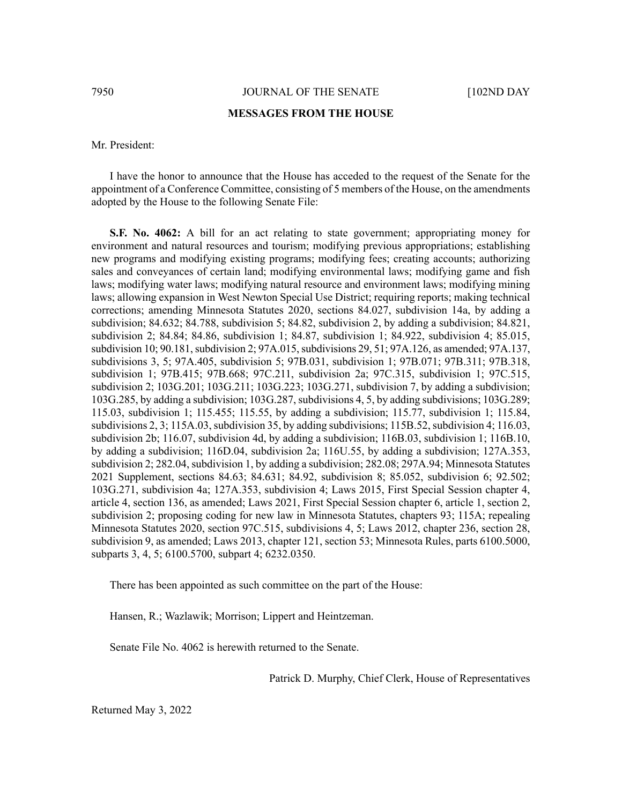7950 JOURNAL OF THE SENATE [102ND DAY

#### **MESSAGES FROM THE HOUSE**

## Mr. President:

I have the honor to announce that the House has acceded to the request of the Senate for the appointment of a Conference Committee, consisting of 5 members of the House, on the amendments adopted by the House to the following Senate File:

**S.F. No. 4062:** A bill for an act relating to state government; appropriating money for environment and natural resources and tourism; modifying previous appropriations; establishing new programs and modifying existing programs; modifying fees; creating accounts; authorizing sales and conveyances of certain land; modifying environmental laws; modifying game and fish laws; modifying water laws; modifying natural resource and environment laws; modifying mining laws; allowing expansion in West Newton Special Use District; requiring reports; making technical corrections; amending Minnesota Statutes 2020, sections 84.027, subdivision 14a, by adding a subdivision; 84.632; 84.788, subdivision 5; 84.82, subdivision 2, by adding a subdivision; 84.821, subdivision 2; 84.84; 84.86, subdivision 1; 84.87, subdivision 1; 84.922, subdivision 4; 85.015, subdivision 10; 90.181, subdivision 2; 97A.015, subdivisions 29, 51; 97A.126, as amended; 97A.137, subdivisions 3, 5; 97A.405, subdivision 5; 97B.031, subdivision 1; 97B.071; 97B.311; 97B.318, subdivision 1; 97B.415; 97B.668; 97C.211, subdivision 2a; 97C.315, subdivision 1; 97C.515, subdivision 2; 103G.201; 103G.211; 103G.223; 103G.271, subdivision 7, by adding a subdivision; 103G.285, by adding a subdivision; 103G.287,subdivisions 4, 5, by adding subdivisions; 103G.289; 115.03, subdivision 1; 115.455; 115.55, by adding a subdivision; 115.77, subdivision 1; 115.84, subdivisions 2, 3; 115A.03, subdivision 35, by adding subdivisions; 115B.52, subdivision 4; 116.03, subdivision 2b; 116.07, subdivision 4d, by adding a subdivision; 116B.03, subdivision 1; 116B.10, by adding a subdivision; 116D.04, subdivision 2a; 116U.55, by adding a subdivision; 127A.353, subdivision 2; 282.04, subdivision 1, by adding a subdivision; 282.08; 297A.94; Minnesota Statutes 2021 Supplement, sections 84.63; 84.631; 84.92, subdivision 8; 85.052, subdivision 6; 92.502; 103G.271, subdivision 4a; 127A.353, subdivision 4; Laws 2015, First Special Session chapter 4, article 4, section 136, as amended; Laws 2021, First Special Session chapter 6, article 1, section 2, subdivision 2; proposing coding for new law in Minnesota Statutes, chapters 93; 115A; repealing Minnesota Statutes 2020, section 97C.515, subdivisions 4, 5; Laws 2012, chapter 236, section 28, subdivision 9, as amended; Laws 2013, chapter 121, section 53; Minnesota Rules, parts 6100.5000, subparts 3, 4, 5; 6100.5700, subpart 4; 6232.0350.

There has been appointed as such committee on the part of the House:

Hansen, R.; Wazlawik; Morrison; Lippert and Heintzeman.

Senate File No. 4062 is herewith returned to the Senate.

Patrick D. Murphy, Chief Clerk, House of Representatives

Returned May 3, 2022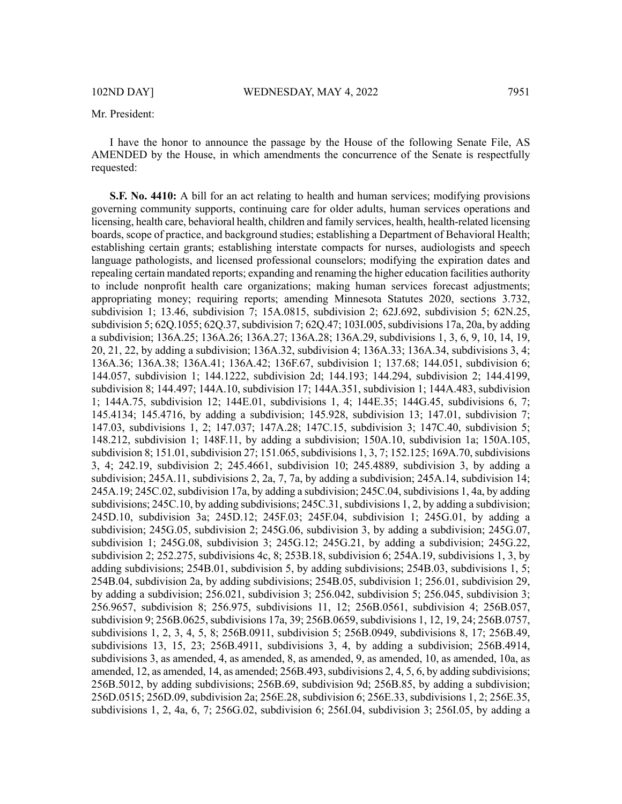I have the honor to announce the passage by the House of the following Senate File, AS AMENDED by the House, in which amendments the concurrence of the Senate is respectfully requested:

**S.F. No. 4410:** A bill for an act relating to health and human services; modifying provisions governing community supports, continuing care for older adults, human services operations and licensing, health care, behavioral health, children and family services, health, health-related licensing boards, scope of practice, and background studies; establishing a Department of Behavioral Health; establishing certain grants; establishing interstate compacts for nurses, audiologists and speech language pathologists, and licensed professional counselors; modifying the expiration dates and repealing certain mandated reports; expanding and renaming the higher education facilities authority to include nonprofit health care organizations; making human services forecast adjustments; appropriating money; requiring reports; amending Minnesota Statutes 2020, sections 3.732, subdivision 1; 13.46, subdivision 7; 15A.0815, subdivision 2; 62J.692, subdivision 5; 62N.25, subdivision 5; 62Q.1055; 62Q.37, subdivision 7; 62Q.47; 103I.005, subdivisions 17a, 20a, by adding a subdivision; 136A.25; 136A.26; 136A.27; 136A.28; 136A.29, subdivisions 1, 3, 6, 9, 10, 14, 19, 20, 21, 22, by adding a subdivision; 136A.32, subdivision 4; 136A.33; 136A.34, subdivisions 3, 4; 136A.36; 136A.38; 136A.41; 136A.42; 136F.67, subdivision 1; 137.68; 144.051, subdivision 6; 144.057, subdivision 1; 144.1222, subdivision 2d; 144.193; 144.294, subdivision 2; 144.4199, subdivision 8; 144.497; 144A.10, subdivision 17; 144A.351, subdivision 1; 144A.483, subdivision 1; 144A.75, subdivision 12; 144E.01, subdivisions 1, 4; 144E.35; 144G.45, subdivisions 6, 7; 145.4134; 145.4716, by adding a subdivision; 145.928, subdivision 13; 147.01, subdivision 7; 147.03, subdivisions 1, 2; 147.037; 147A.28; 147C.15, subdivision 3; 147C.40, subdivision 5; 148.212, subdivision 1; 148F.11, by adding a subdivision; 150A.10, subdivision 1a; 150A.105, subdivision 8; 151.01, subdivision 27; 151.065, subdivisions 1, 3, 7; 152.125; 169A.70, subdivisions 3, 4; 242.19, subdivision 2; 245.4661, subdivision 10; 245.4889, subdivision 3, by adding a subdivision; 245A.11, subdivisions 2, 2a, 7, 7a, by adding a subdivision; 245A.14, subdivision 14; 245A.19; 245C.02, subdivision 17a, by adding a subdivision; 245C.04, subdivisions 1, 4a, by adding subdivisions;  $245C.10$ , by adding subdivisions;  $245C.31$ , subdivisions 1, 2, by adding a subdivision; 245D.10, subdivision 3a; 245D.12; 245F.03; 245F.04, subdivision 1; 245G.01, by adding a subdivision; 245G.05, subdivision 2; 245G.06, subdivision 3, by adding a subdivision; 245G.07, subdivision 1; 245G.08, subdivision 3; 245G.12; 245G.21, by adding a subdivision; 245G.22, subdivision 2;  $252.275$ , subdivisions 4c, 8;  $253B.18$ , subdivision 6;  $254A.19$ , subdivisions 1, 3, by adding subdivisions; 254B.01, subdivision 5, by adding subdivisions; 254B.03, subdivisions 1, 5; 254B.04, subdivision 2a, by adding subdivisions; 254B.05, subdivision 1; 256.01, subdivision 29, by adding a subdivision; 256.021, subdivision 3; 256.042, subdivision 5; 256.045, subdivision 3; 256.9657, subdivision 8; 256.975, subdivisions 11, 12; 256B.0561, subdivision 4; 256B.057, subdivision 9; 256B.0625, subdivisions 17a, 39; 256B.0659, subdivisions 1, 12, 19, 24; 256B.0757, subdivisions 1, 2, 3, 4, 5, 8; 256B.0911, subdivision 5; 256B.0949, subdivisions 8, 17; 256B.49, subdivisions 13, 15, 23; 256B.4911, subdivisions 3, 4, by adding a subdivision; 256B.4914, subdivisions 3, as amended, 4, as amended, 8, as amended, 9, as amended, 10, as amended, 10a, as amended,  $12$ , as amended,  $14$ , as amended;  $256B.493$ , subdivisions  $2, 4, 5, 6$ , by adding subdivisions; 256B.5012, by adding subdivisions; 256B.69, subdivision 9d; 256B.85, by adding a subdivision; 256D.0515; 256D.09, subdivision 2a; 256E.28, subdivision 6; 256E.33, subdivisions 1, 2; 256E.35, subdivisions 1, 2, 4a, 6, 7; 256G.02, subdivision 6; 256I.04, subdivision 3; 256I.05, by adding a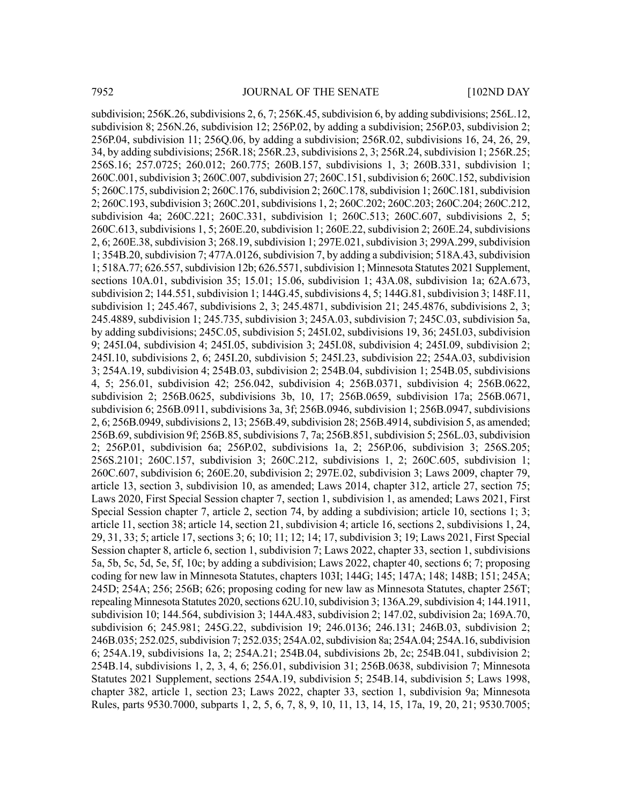subdivision; 256K.26, subdivisions 2, 6, 7; 256K.45, subdivision 6, by adding subdivisions; 256L.12, subdivision 8; 256N.26, subdivision 12; 256P.02, by adding a subdivision; 256P.03, subdivision 2; 256P.04, subdivision 11; 256Q.06, by adding a subdivision; 256R.02, subdivisions 16, 24, 26, 29, 34, by adding subdivisions; 256R.18; 256R.23, subdivisions 2, 3; 256R.24, subdivision 1; 256R.25; 256S.16; 257.0725; 260.012; 260.775; 260B.157, subdivisions 1, 3; 260B.331, subdivision 1; 260C.001, subdivision 3; 260C.007, subdivision 27; 260C.151, subdivision 6; 260C.152, subdivision 5; 260C.175, subdivision 2; 260C.176, subdivision 2; 260C.178, subdivision 1; 260C.181, subdivision 2; 260C.193,subdivision 3; 260C.201,subdivisions 1, 2; 260C.202; 260C.203; 260C.204; 260C.212, subdivision 4a; 260C.221; 260C.331, subdivision 1; 260C.513; 260C.607, subdivisions 2, 5; 260C.613, subdivisions 1, 5; 260E.20, subdivision 1; 260E.22, subdivision 2; 260E.24, subdivisions 2, 6; 260E.38, subdivision 3; 268.19, subdivision 1; 297E.021, subdivision 3; 299A.299, subdivision  $1$ ; 354B.20, subdivision 7; 477A.0126, subdivision 7, by adding a subdivision; 518A.43, subdivision 1; 518A.77; 626.557,subdivision 12b; 626.5571,subdivision 1; Minnesota Statutes 2021 Supplement, sections 10A.01, subdivision 35; 15.01; 15.06, subdivision 1; 43A.08, subdivision 1a; 62A.673, subdivision 2; 144.551, subdivision 1; 144G.45, subdivisions 4, 5; 144G.81, subdivision 3; 148F.11, subdivision 1; 245.467, subdivisions 2, 3; 245.4871, subdivision 21; 245.4876, subdivisions 2, 3; 245.4889, subdivision 1; 245.735, subdivision 3; 245A.03, subdivision 7; 245C.03, subdivision 5a, by adding subdivisions; 245C.05, subdivision 5; 245I.02, subdivisions 19, 36; 245I.03, subdivision 9; 245I.04, subdivision 4; 245I.05, subdivision 3; 245I.08, subdivision 4; 245I.09, subdivision 2; 245I.10, subdivisions 2, 6; 245I.20, subdivision 5; 245I.23, subdivision 22; 254A.03, subdivision 3; 254A.19, subdivision 4; 254B.03, subdivision 2; 254B.04, subdivision 1; 254B.05, subdivisions 4, 5; 256.01, subdivision 42; 256.042, subdivision 4; 256B.0371, subdivision 4; 256B.0622, subdivision 2; 256B.0625, subdivisions 3b, 10, 17; 256B.0659, subdivision 17a; 256B.0671, subdivision 6; 256B.0911, subdivisions 3a, 3f; 256B.0946, subdivision 1; 256B.0947, subdivisions 2, 6; 256B.0949, subdivisions 2, 13; 256B.49, subdivision 28; 256B.4914, subdivision 5, as amended; 256B.69, subdivision 9f; 256B.85, subdivisions 7, 7a; 256B.851, subdivision 5; 256L.03, subdivision 2; 256P.01, subdivision 6a; 256P.02, subdivisions 1a, 2; 256P.06, subdivision 3; 256S.205; 256S.2101; 260C.157, subdivision 3; 260C.212, subdivisions 1, 2; 260C.605, subdivision 1; 260C.607, subdivision 6; 260E.20, subdivision 2; 297E.02, subdivision 3; Laws 2009, chapter 79, article 13, section 3, subdivision 10, as amended; Laws 2014, chapter 312, article 27, section 75; Laws 2020, First Special Session chapter 7, section 1, subdivision 1, as amended; Laws 2021, First Special Session chapter 7, article 2, section 74, by adding a subdivision; article 10, sections 1; 3; article 11, section 38; article 14, section 21, subdivision 4; article 16, sections 2, subdivisions 1, 24, 29, 31, 33; 5; article 17, sections 3; 6; 10; 11; 12; 14; 17, subdivision 3; 19; Laws 2021, First Special Session chapter 8, article 6, section 1, subdivision 7; Laws 2022, chapter 33, section 1, subdivisions 5a, 5b, 5c, 5d, 5e, 5f, 10c; by adding a subdivision; Laws 2022, chapter 40, sections 6; 7; proposing coding for new law in Minnesota Statutes, chapters 103I; 144G; 145; 147A; 148; 148B; 151; 245A; 245D; 254A; 256; 256B; 626; proposing coding for new law as Minnesota Statutes, chapter 256T; repealing Minnesota Statutes 2020, sections 62U.10, subdivision 3; 136A.29, subdivision 4; 144.1911, subdivision 10; 144.564, subdivision 3; 144A.483, subdivision 2; 147.02, subdivision 2a; 169A.70, subdivision 6; 245.981; 245G.22, subdivision 19; 246.0136; 246.131; 246B.03, subdivision 2; 246B.035; 252.025, subdivision 7; 252.035; 254A.02, subdivision 8a; 254A.04; 254A.16, subdivision 6; 254A.19, subdivisions 1a, 2; 254A.21; 254B.04, subdivisions 2b, 2c; 254B.041, subdivision 2; 254B.14, subdivisions 1, 2, 3, 4, 6; 256.01, subdivision 31; 256B.0638, subdivision 7; Minnesota Statutes 2021 Supplement, sections 254A.19, subdivision 5; 254B.14, subdivision 5; Laws 1998, chapter 382, article 1, section 23; Laws 2022, chapter 33, section 1, subdivision 9a; Minnesota Rules, parts 9530.7000, subparts 1, 2, 5, 6, 7, 8, 9, 10, 11, 13, 14, 15, 17a, 19, 20, 21; 9530.7005;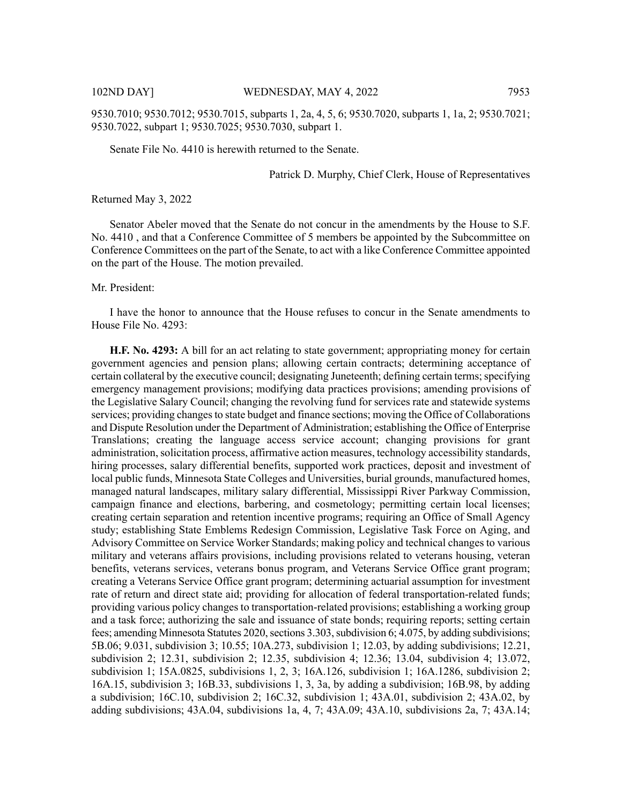9530.7010; 9530.7012; 9530.7015, subparts 1, 2a, 4, 5, 6; 9530.7020, subparts 1, 1a, 2; 9530.7021; 9530.7022, subpart 1; 9530.7025; 9530.7030, subpart 1.

Senate File No. 4410 is herewith returned to the Senate.

Patrick D. Murphy, Chief Clerk, House of Representatives

Returned May 3, 2022

Senator Abeler moved that the Senate do not concur in the amendments by the House to S.F. No. 4410 , and that a Conference Committee of 5 members be appointed by the Subcommittee on Conference Committees on the part of the Senate, to act with a like Conference Committee appointed on the part of the House. The motion prevailed.

Mr. President:

I have the honor to announce that the House refuses to concur in the Senate amendments to House File No. 4293:

**H.F. No. 4293:** A bill for an act relating to state government; appropriating money for certain government agencies and pension plans; allowing certain contracts; determining acceptance of certain collateral by the executive council; designating Juneteenth; defining certain terms; specifying emergency management provisions; modifying data practices provisions; amending provisions of the Legislative Salary Council; changing the revolving fund for services rate and statewide systems services; providing changes to state budget and finance sections; moving the Office of Collaborations and Dispute Resolution under the Department of Administration; establishing the Office of Enterprise Translations; creating the language access service account; changing provisions for grant administration, solicitation process, affirmative action measures, technology accessibility standards, hiring processes, salary differential benefits, supported work practices, deposit and investment of local public funds, Minnesota State Colleges and Universities, burial grounds, manufactured homes, managed natural landscapes, military salary differential, Mississippi River Parkway Commission, campaign finance and elections, barbering, and cosmetology; permitting certain local licenses; creating certain separation and retention incentive programs; requiring an Office of Small Agency study; establishing State Emblems Redesign Commission, Legislative Task Force on Aging, and Advisory Committee on Service Worker Standards; making policy and technical changes to various military and veterans affairs provisions, including provisions related to veterans housing, veteran benefits, veterans services, veterans bonus program, and Veterans Service Office grant program; creating a Veterans Service Office grant program; determining actuarial assumption for investment rate of return and direct state aid; providing for allocation of federal transportation-related funds; providing various policy changes to transportation-related provisions; establishing a working group and a task force; authorizing the sale and issuance of state bonds; requiring reports; setting certain fees; amending Minnesota Statutes 2020, sections  $3.303$ , subdivision 6;  $4.075$ , by adding subdivisions; 5B.06; 9.031, subdivision 3; 10.55; 10A.273, subdivision 1; 12.03, by adding subdivisions; 12.21, subdivision 2; 12.31, subdivision 2; 12.35, subdivision 4; 12.36; 13.04, subdivision 4; 13.072, subdivision 1; 15A.0825, subdivisions 1, 2, 3; 16A.126, subdivision 1; 16A.1286, subdivision 2; 16A.15, subdivision 3; 16B.33, subdivisions 1, 3, 3a, by adding a subdivision; 16B.98, by adding a subdivision; 16C.10, subdivision 2; 16C.32, subdivision 1; 43A.01, subdivision 2; 43A.02, by adding subdivisions; 43A.04, subdivisions 1a, 4, 7; 43A.09; 43A.10, subdivisions 2a, 7; 43A.14;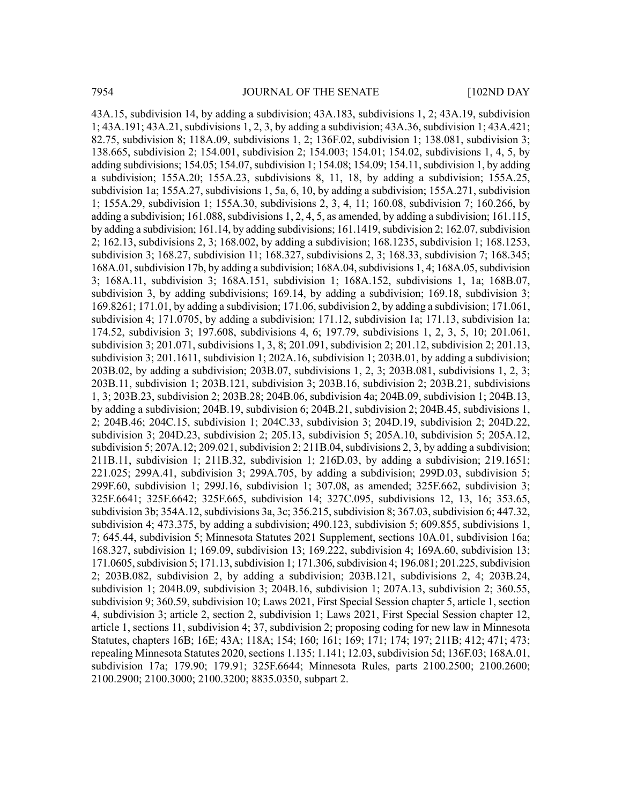43A.15, subdivision 14, by adding a subdivision; 43A.183, subdivisions 1, 2; 43A.19, subdivision 1; 43A.191; 43A.21, subdivisions 1, 2, 3, by adding a subdivision; 43A.36, subdivision 1; 43A.421; 82.75, subdivision 8; 118A.09, subdivisions 1, 2; 136F.02, subdivision 1; 138.081, subdivision 3; 138.665, subdivision 2; 154.001, subdivision 2; 154.003; 154.01; 154.02, subdivisions 1, 4, 5, by adding subdivisions; 154.05; 154.07, subdivision 1; 154.08; 154.09; 154.11, subdivision 1, by adding a subdivision; 155A.20; 155A.23, subdivisions 8, 11, 18, by adding a subdivision; 155A.25, subdivision 1a; 155A.27, subdivisions 1, 5a, 6, 10, by adding a subdivision; 155A.271, subdivision 1; 155A.29, subdivision 1; 155A.30, subdivisions 2, 3, 4, 11; 160.08, subdivision 7; 160.266, by adding a subdivision;  $161.088$ , subdivisions 1, 2, 4, 5, as amended, by adding a subdivision; 161.115, by adding a subdivision; 161.14, by adding subdivisions; 161.1419, subdivision 2; 162.07, subdivision 2; 162.13, subdivisions 2, 3; 168.002, by adding a subdivision; 168.1235, subdivision 1; 168.1253, subdivision 3; 168.27, subdivision 11; 168.327, subdivisions 2, 3; 168.33, subdivision 7; 168.345; 168A.01, subdivision 17b, by adding a subdivision; 168A.04, subdivisions 1, 4; 168A.05, subdivision 3; 168A.11, subdivision 3; 168A.151, subdivision 1; 168A.152, subdivisions 1, 1a; 168B.07, subdivision 3, by adding subdivisions; 169.14, by adding a subdivision; 169.18, subdivision 3; 169.8261; 171.01, by adding a subdivision; 171.06, subdivision 2, by adding a subdivision; 171.061, subdivision 4; 171.0705, by adding a subdivision; 171.12, subdivision 1a; 171.13, subdivision 1a; 174.52, subdivision 3; 197.608, subdivisions 4, 6; 197.79, subdivisions 1, 2, 3, 5, 10; 201.061, subdivision 3; 201.071, subdivisions 1, 3, 8; 201.091, subdivision 2; 201.12, subdivision 2; 201.13, subdivision 3; 201.1611, subdivision 1; 202A.16, subdivision 1; 203B.01, by adding a subdivision; 203B.02, by adding a subdivision; 203B.07, subdivisions 1, 2, 3; 203B.081, subdivisions 1, 2, 3; 203B.11, subdivision 1; 203B.121, subdivision 3; 203B.16, subdivision 2; 203B.21, subdivisions 1, 3; 203B.23, subdivision 2; 203B.28; 204B.06, subdivision 4a; 204B.09, subdivision 1; 204B.13, by adding a subdivision; 204B.19, subdivision 6; 204B.21, subdivision 2; 204B.45, subdivisions 1, 2; 204B.46; 204C.15, subdivision 1; 204C.33, subdivision 3; 204D.19, subdivision 2; 204D.22, subdivision 3; 204D.23, subdivision 2; 205.13, subdivision 5; 205A.10, subdivision 5; 205A.12, subdivision 5;  $207A.12$ ;  $209.021$ , subdivision 2;  $211B.04$ , subdivisions 2, 3, by adding a subdivision; 211B.11, subdivision 1; 211B.32, subdivision 1; 216D.03, by adding a subdivision; 219.1651; 221.025; 299A.41, subdivision 3; 299A.705, by adding a subdivision; 299D.03, subdivision 5; 299F.60, subdivision 1; 299J.16, subdivision 1; 307.08, as amended; 325F.662, subdivision 3; 325F.6641; 325F.6642; 325F.665, subdivision 14; 327C.095, subdivisions 12, 13, 16; 353.65, subdivision 3b; 354A.12, subdivisions 3a, 3c; 356.215, subdivision 8; 367.03, subdivision 6; 447.32, subdivision 4; 473.375, by adding a subdivision; 490.123, subdivision 5; 609.855, subdivisions 1, 7; 645.44, subdivision 5; Minnesota Statutes 2021 Supplement, sections 10A.01, subdivision 16a; 168.327, subdivision 1; 169.09, subdivision 13; 169.222, subdivision 4; 169A.60, subdivision 13; 171.0605, subdivision 5; 171.13, subdivision 1; 171.306, subdivision 4; 196.081; 201.225, subdivision 2; 203B.082, subdivision 2, by adding a subdivision; 203B.121, subdivisions 2, 4; 203B.24, subdivision 1; 204B.09, subdivision 3; 204B.16, subdivision 1; 207A.13, subdivision 2; 360.55, subdivision 9; 360.59, subdivision 10; Laws 2021, First Special Session chapter 5, article 1, section 4, subdivision 3; article 2, section 2, subdivision 1; Laws 2021, First Special Session chapter 12, article 1, sections 11, subdivision 4; 37, subdivision 2; proposing coding for new law in Minnesota Statutes, chapters 16B; 16E; 43A; 118A; 154; 160; 161; 169; 171; 174; 197; 211B; 412; 471; 473; repealing Minnesota Statutes 2020, sections 1.135; 1.141; 12.03, subdivision 5d; 136F.03; 168A.01, subdivision 17a; 179.90; 179.91; 325F.6644; Minnesota Rules, parts 2100.2500; 2100.2600; 2100.2900; 2100.3000; 2100.3200; 8835.0350, subpart 2.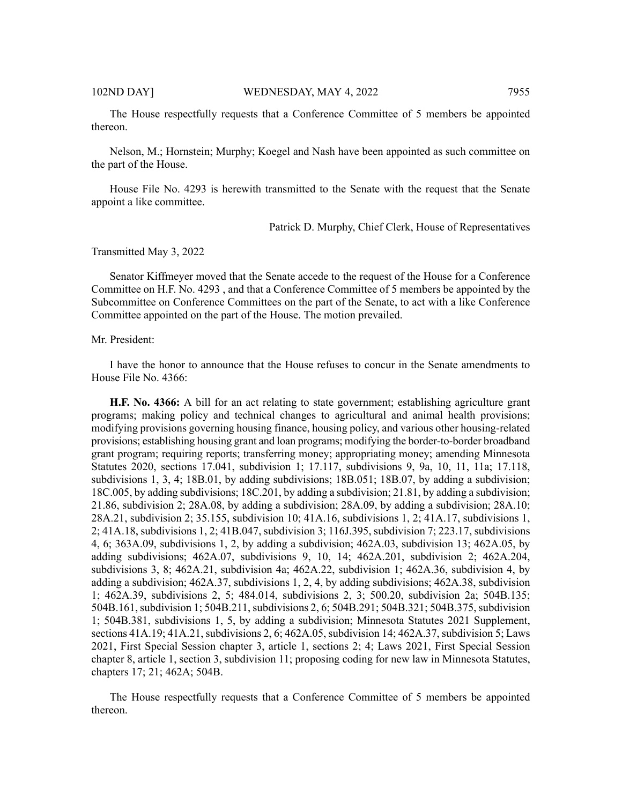The House respectfully requests that a Conference Committee of 5 members be appointed thereon.

Nelson, M.; Hornstein; Murphy; Koegel and Nash have been appointed as such committee on the part of the House.

House File No. 4293 is herewith transmitted to the Senate with the request that the Senate appoint a like committee.

Patrick D. Murphy, Chief Clerk, House of Representatives

Transmitted May 3, 2022

Senator Kiffmeyer moved that the Senate accede to the request of the House for a Conference Committee on H.F. No. 4293 , and that a Conference Committee of 5 members be appointed by the Subcommittee on Conference Committees on the part of the Senate, to act with a like Conference Committee appointed on the part of the House. The motion prevailed.

#### Mr. President:

I have the honor to announce that the House refuses to concur in the Senate amendments to House File No. 4366:

**H.F. No. 4366:** A bill for an act relating to state government; establishing agriculture grant programs; making policy and technical changes to agricultural and animal health provisions; modifying provisions governing housing finance, housing policy, and various other housing-related provisions; establishing housing grant and loan programs; modifying the border-to-border broadband grant program; requiring reports; transferring money; appropriating money; amending Minnesota Statutes 2020, sections 17.041, subdivision 1; 17.117, subdivisions 9, 9a, 10, 11, 11a; 17.118, subdivisions 1, 3, 4; 18B.01, by adding subdivisions; 18B.051; 18B.07, by adding a subdivision; 18C.005, by adding subdivisions; 18C.201, by adding a subdivision; 21.81, by adding a subdivision; 21.86, subdivision 2; 28A.08, by adding a subdivision; 28A.09, by adding a subdivision; 28A.10; 28A.21, subdivision 2; 35.155, subdivision 10; 41A.16, subdivisions 1, 2; 41A.17, subdivisions 1, 2; 41A.18, subdivisions 1, 2; 41B.047, subdivision 3; 116J.395, subdivision 7; 223.17, subdivisions 4, 6; 363A.09, subdivisions 1, 2, by adding a subdivision; 462A.03, subdivision 13; 462A.05, by adding subdivisions; 462A.07, subdivisions 9, 10, 14; 462A.201, subdivision 2; 462A.204, subdivisions 3, 8; 462A.21, subdivision 4a; 462A.22, subdivision 1; 462A.36, subdivision 4, by adding a subdivision; 462A.37, subdivisions 1, 2, 4, by adding subdivisions; 462A.38, subdivision 1; 462A.39, subdivisions 2, 5; 484.014, subdivisions 2, 3; 500.20, subdivision 2a; 504B.135; 504B.161, subdivision 1; 504B.211, subdivisions 2, 6; 504B.291; 504B.321; 504B.375, subdivision 1; 504B.381, subdivisions 1, 5, by adding a subdivision; Minnesota Statutes 2021 Supplement, sections 41A.19; 41A.21, subdivisions 2, 6; 462A.05, subdivision 14; 462A.37, subdivision 5; Laws 2021, First Special Session chapter 3, article 1, sections 2; 4; Laws 2021, First Special Session chapter 8, article 1, section 3, subdivision 11; proposing coding for new law in Minnesota Statutes, chapters 17; 21; 462A; 504B.

The House respectfully requests that a Conference Committee of 5 members be appointed thereon.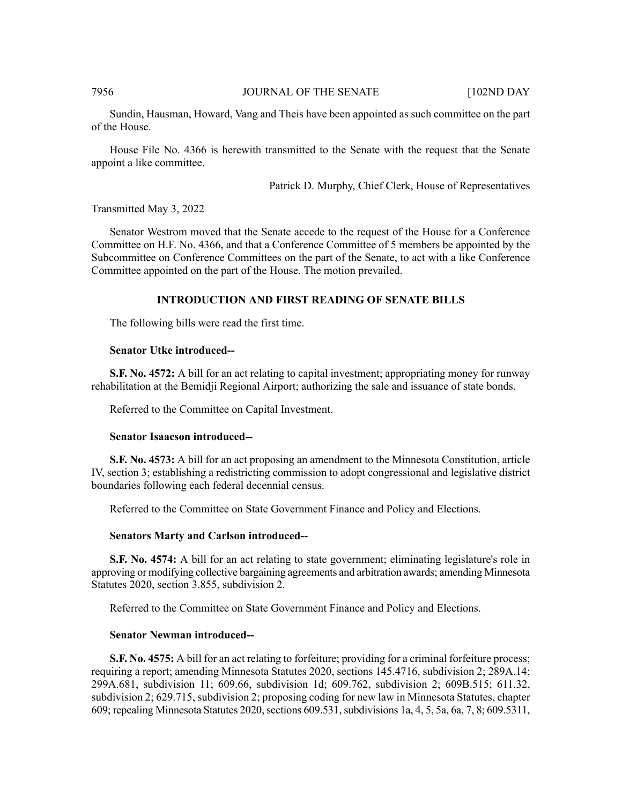## 7956 JOURNAL OF THE SENATE [102ND DAY

Sundin, Hausman, Howard, Vang and Theis have been appointed as such committee on the part of the House.

House File No. 4366 is herewith transmitted to the Senate with the request that the Senate appoint a like committee.

Patrick D. Murphy, Chief Clerk, House of Representatives

#### Transmitted May 3, 2022

Senator Westrom moved that the Senate accede to the request of the House for a Conference Committee on H.F. No. 4366, and that a Conference Committee of 5 members be appointed by the Subcommittee on Conference Committees on the part of the Senate, to act with a like Conference Committee appointed on the part of the House. The motion prevailed.

#### **INTRODUCTION AND FIRST READING OF SENATE BILLS**

The following bills were read the first time.

#### **Senator Utke introduced--**

**S.F. No. 4572:** A bill for an act relating to capital investment; appropriating money for runway rehabilitation at the Bemidji Regional Airport; authorizing the sale and issuance of state bonds.

Referred to the Committee on Capital Investment.

## **Senator Isaacson introduced--**

**S.F. No. 4573:** A bill for an act proposing an amendment to the Minnesota Constitution, article IV, section 3; establishing a redistricting commission to adopt congressional and legislative district boundaries following each federal decennial census.

Referred to the Committee on State Government Finance and Policy and Elections.

#### **Senators Marty and Carlson introduced--**

**S.F. No. 4574:** A bill for an act relating to state government; eliminating legislature's role in approving or modifying collective bargaining agreements and arbitration awards; amending Minnesota Statutes 2020, section 3.855, subdivision 2.

Referred to the Committee on State Government Finance and Policy and Elections.

# **Senator Newman introduced--**

**S.F. No. 4575:** A bill for an act relating to forfeiture; providing for a criminal forfeiture process; requiring a report; amending Minnesota Statutes 2020, sections 145.4716, subdivision 2; 289A.14; 299A.681, subdivision 11; 609.66, subdivision 1d; 609.762, subdivision 2; 609B.515; 611.32, subdivision 2; 629.715, subdivision 2; proposing coding for new law in Minnesota Statutes, chapter 609; repealing Minnesota Statutes 2020, sections 609.531, subdivisions 1a, 4, 5, 5a, 6a, 7, 8; 609.5311,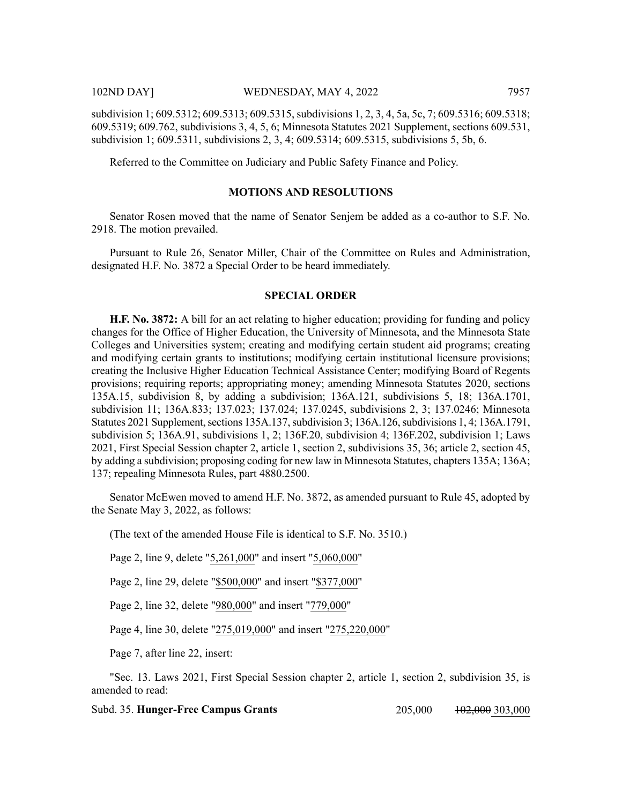Referred to the Committee on Judiciary and Public Safety Finance and Policy.

# **MOTIONS AND RESOLUTIONS**

Senator Rosen moved that the name of Senator Senjem be added as a co-author to S.F. No. 2918. The motion prevailed.

Pursuant to Rule 26, Senator Miller, Chair of the Committee on Rules and Administration, designated H.F. No. 3872 a Special Order to be heard immediately.

# **SPECIAL ORDER**

**H.F. No. 3872:** A bill for an act relating to higher education; providing for funding and policy changes for the Office of Higher Education, the University of Minnesota, and the Minnesota State Colleges and Universities system; creating and modifying certain student aid programs; creating and modifying certain grants to institutions; modifying certain institutional licensure provisions; creating the Inclusive Higher Education Technical Assistance Center; modifying Board of Regents provisions; requiring reports; appropriating money; amending Minnesota Statutes 2020, sections 135A.15, subdivision 8, by adding a subdivision; 136A.121, subdivisions 5, 18; 136A.1701, subdivision 11; 136A.833; 137.023; 137.024; 137.0245, subdivisions 2, 3; 137.0246; Minnesota Statutes 2021 Supplement, sections 135A.137, subdivision 3; 136A.126, subdivisions 1, 4; 136A.1791, subdivision 5; 136A.91, subdivisions 1, 2; 136F.20, subdivision 4; 136F.202, subdivision 1; Laws 2021, First Special Session chapter 2, article 1, section 2, subdivisions 35, 36; article 2, section 45, by adding a subdivision; proposing coding for new law in Minnesota Statutes, chapters 135A; 136A; 137; repealing Minnesota Rules, part 4880.2500.

Senator McEwen moved to amend H.F. No. 3872, as amended pursuant to Rule 45, adopted by the Senate May 3, 2022, as follows:

(The text of the amended House File is identical to S.F. No. 3510.)

Page 2, line 9, delete "5,261,000" and insert "5,060,000"

Page 2, line 29, delete "\$500,000" and insert "\$377,000"

Page 2, line 32, delete "980,000" and insert "779,000"

Page 4, line 30, delete "275,019,000" and insert "275,220,000"

Page 7, after line 22, insert:

"Sec. 13. Laws 2021, First Special Session chapter 2, article 1, section 2, subdivision 35, is amended to read:

**Subd. 35. Hunger-Free Campus Grants** 205,000 102,000 303,000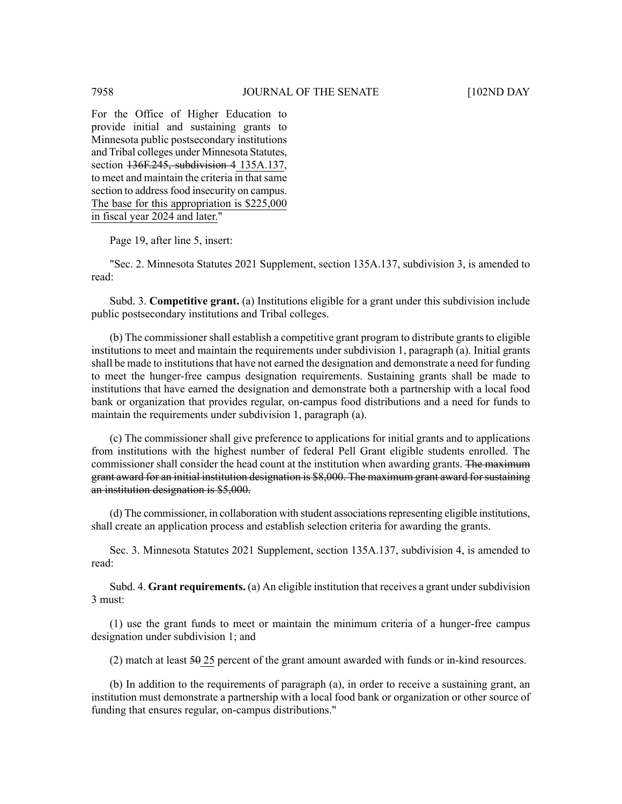For the Office of Higher Education to provide initial and sustaining grants to Minnesota public postsecondary institutions and Tribal colleges under Minnesota Statutes, section 136F.245, subdivision 4 135A.137, to meet and maintain the criteria in that same section to address food insecurity on campus. The base for this appropriation is \$225,000 in fiscal year 2024 and later."

Page 19, after line 5, insert:

"Sec. 2. Minnesota Statutes 2021 Supplement, section 135A.137, subdivision 3, is amended to read:

Subd. 3. **Competitive grant.** (a) Institutions eligible for a grant under this subdivision include public postsecondary institutions and Tribal colleges.

(b) The commissioner shall establish a competitive grant program to distribute grants to eligible institutions to meet and maintain the requirements under subdivision 1, paragraph (a). Initial grants shall be made to institutions that have not earned the designation and demonstrate a need for funding to meet the hunger-free campus designation requirements. Sustaining grants shall be made to institutions that have earned the designation and demonstrate both a partnership with a local food bank or organization that provides regular, on-campus food distributions and a need for funds to maintain the requirements under subdivision 1, paragraph (a).

(c) The commissioner shall give preference to applications for initial grants and to applications from institutions with the highest number of federal Pell Grant eligible students enrolled. The commissioner shall consider the head count at the institution when awarding grants. The maximum grant award for an initial institution designation is \$8,000. The maximum grant award forsustaining an institution designation is \$5,000.

(d) The commissioner, in collaboration with student associationsrepresenting eligible institutions, shall create an application process and establish selection criteria for awarding the grants.

Sec. 3. Minnesota Statutes 2021 Supplement, section 135A.137, subdivision 4, is amended to read:

Subd. 4. **Grant requirements.** (a) An eligible institution that receives a grant under subdivision 3 must:

(1) use the grant funds to meet or maintain the minimum criteria of a hunger-free campus designation under subdivision 1; and

(2) match at least  $50-25$  percent of the grant amount awarded with funds or in-kind resources.

(b) In addition to the requirements of paragraph (a), in order to receive a sustaining grant, an institution must demonstrate a partnership with a local food bank or organization or other source of funding that ensures regular, on-campus distributions."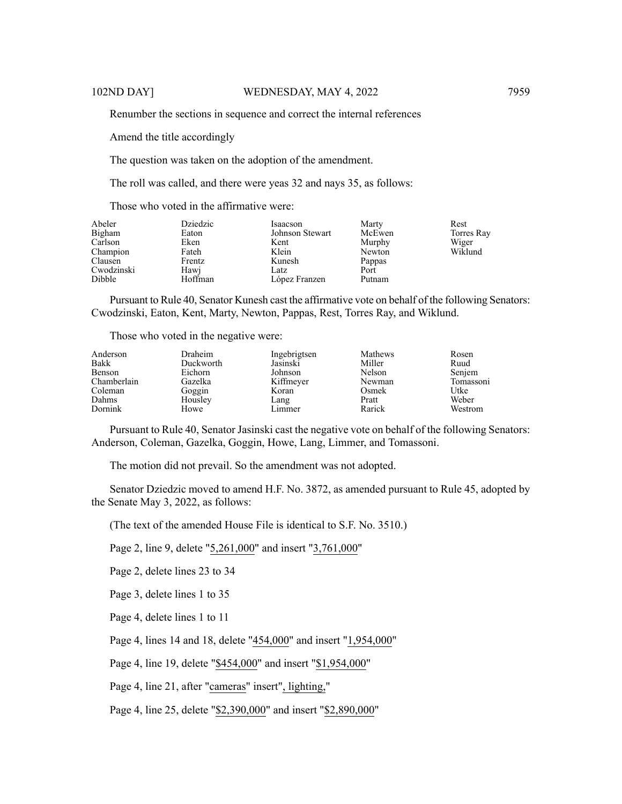Renumber the sections in sequence and correct the internal references

Amend the title accordingly

The question was taken on the adoption of the amendment.

The roll was called, and there were yeas 32 and nays 35, as follows:

Those who voted in the affirmative were:

| Abeler<br>Bigham<br>Carlson<br>Champion<br>Clausen<br>Cwodzinski | Dziedzic<br>Eaton<br>Eken<br>Fateh<br>Frentz<br>Hawj | Isaacson<br>Johnson Stewart<br>Kent<br>Klein<br>Kunesh<br>Latz | Marty<br>McEwen<br>Murphy<br>Newton<br>Pappas<br>Port | Rest<br>Torres Ray<br>Wiger<br>Wiklund |
|------------------------------------------------------------------|------------------------------------------------------|----------------------------------------------------------------|-------------------------------------------------------|----------------------------------------|
| Dibble                                                           | Hoffman                                              | López Franzen                                                  | Putnam                                                |                                        |

Pursuant to Rule 40, Senator Kunesh cast the affirmative vote on behalf of the following Senators: Cwodzinski, Eaton, Kent, Marty, Newton, Pappas, Rest, Torres Ray, and Wiklund.

Those who voted in the negative were:

| Anderson    | Draheim   | Ingebrigtsen | Mathews | Rosen     |
|-------------|-----------|--------------|---------|-----------|
| Bakk        | Duckworth | Jasinski     | Miller  | Ruud      |
| Benson      | Eichorn   | Johnson      | Nelson  | Senjem    |
| Chamberlain | Gazelka   | Kiffmeyer    | Newman  | Tomassoni |
| Coleman     | Goggin    | Koran        | Osmek   | Utke      |
| Dahms       | Housley   | Lang         | Pratt   | Weber     |
| Dornink     | Howe      | Limmer       | Rarick  | Westrom   |

Pursuant to Rule 40, Senator Jasinski cast the negative vote on behalf of the following Senators: Anderson, Coleman, Gazelka, Goggin, Howe, Lang, Limmer, and Tomassoni.

The motion did not prevail. So the amendment was not adopted.

Senator Dziedzic moved to amend H.F. No. 3872, as amended pursuant to Rule 45, adopted by the Senate May 3, 2022, as follows:

(The text of the amended House File is identical to S.F. No. 3510.)

Page 2, line 9, delete "5,261,000" and insert "3,761,000"

Page 2, delete lines 23 to 34

Page 3, delete lines 1 to 35

Page 4, delete lines 1 to 11

Page 4, lines 14 and 18, delete "454,000" and insert "1,954,000"

Page 4, line 19, delete "\$454,000" and insert "\$1,954,000"

Page 4, line 21, after "cameras" insert", lighting,"

Page 4, line 25, delete "\$2,390,000" and insert "\$2,890,000"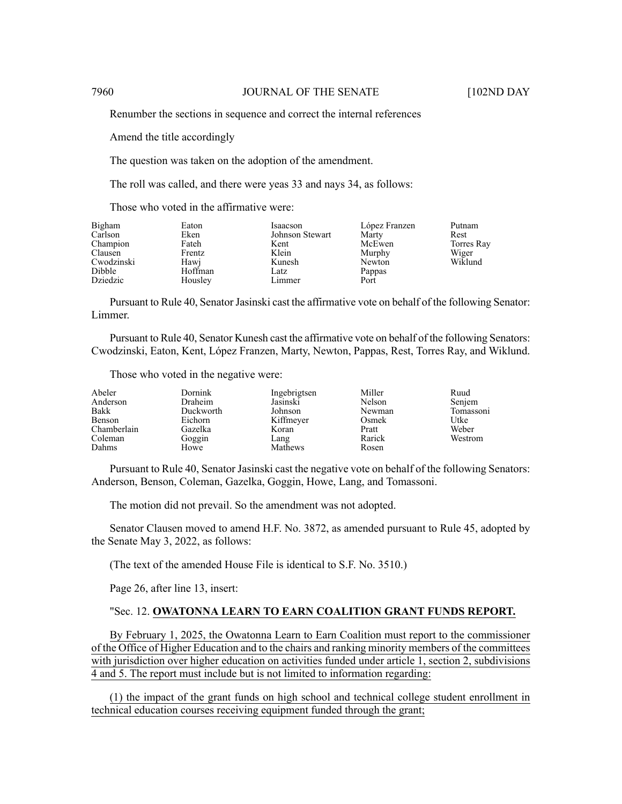Renumber the sections in sequence and correct the internal references

Amend the title accordingly

The question was taken on the adoption of the amendment.

The roll was called, and there were yeas 33 and nays 34, as follows:

Those who voted in the affirmative were:

| Bigham     | Eaton   | Isaacson        | López Franzen | Putnam     |
|------------|---------|-----------------|---------------|------------|
| Carlson    | Eken    | Johnson Stewart | Marty         | Rest       |
| Champion   | Fateh   | Kent            | McEwen        | Torres Ray |
| Clausen    | Frentz  | Klein           | Murphy        | Wiger      |
| Cwodzinski | Hawj    | Kunesh          | Newton        | Wiklund    |
| Dibble     | Hoffman | Latz            | Pappas        |            |
| Dziedzic   | Housley | Limmer          | Port          |            |

Pursuant to Rule 40, Senator Jasinski cast the affirmative vote on behalf of the following Senator: Limmer.

Pursuant to Rule 40, Senator Kunesh cast the affirmative vote on behalf of the following Senators: Cwodzinski, Eaton, Kent, López Franzen, Marty, Newton, Pappas, Rest, Torres Ray, and Wiklund.

Those who voted in the negative were:

| Abeler      | Dornink        | Ingebrigtsen | Miller        | Ruud      |
|-------------|----------------|--------------|---------------|-----------|
| Anderson    | <b>Draheim</b> | Jasinski     | <b>Nelson</b> | Senjem    |
| Bakk        | Duckworth      | Johnson      | Newman        | Tomassoni |
| Benson      | Eichorn        | Kiffmeyer    | Osmek         | Utke      |
| Chamberlain | Gazelka        | Koran        | Pratt         | Weber     |
| Coleman     | Goggin         | Lang         | Rarick        | Westrom   |
| Dahms       | Howe           | Mathews      | Rosen         |           |

Pursuant to Rule 40, Senator Jasinski cast the negative vote on behalf of the following Senators: Anderson, Benson, Coleman, Gazelka, Goggin, Howe, Lang, and Tomassoni.

The motion did not prevail. So the amendment was not adopted.

Senator Clausen moved to amend H.F. No. 3872, as amended pursuant to Rule 45, adopted by the Senate May 3, 2022, as follows:

(The text of the amended House File is identical to S.F. No. 3510.)

Page 26, after line 13, insert:

#### "Sec. 12. **OWATONNA LEARN TO EARN COALITION GRANT FUNDS REPORT.**

By February 1, 2025, the Owatonna Learn to Earn Coalition must report to the commissioner of the Office of Higher Education and to the chairs and ranking minority members of the committees with jurisdiction over higher education on activities funded under article 1, section 2, subdivisions 4 and 5. The report must include but is not limited to information regarding:

(1) the impact of the grant funds on high school and technical college student enrollment in technical education courses receiving equipment funded through the grant;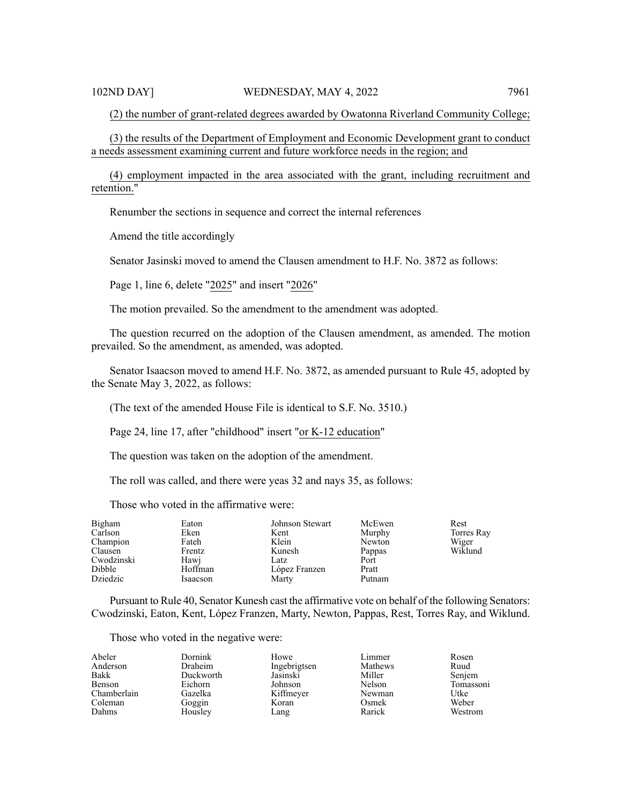(2) the number of grant-related degrees awarded by Owatonna Riverland Community College;

(3) the results of the Department of Employment and Economic Development grant to conduct a needs assessment examining current and future workforce needs in the region; and

(4) employment impacted in the area associated with the grant, including recruitment and retention."

Renumber the sections in sequence and correct the internal references

Amend the title accordingly

Senator Jasinski moved to amend the Clausen amendment to H.F. No. 3872 as follows:

Page 1, line 6, delete "2025" and insert "2026"

The motion prevailed. So the amendment to the amendment was adopted.

The question recurred on the adoption of the Clausen amendment, as amended. The motion prevailed. So the amendment, as amended, was adopted.

Senator Isaacson moved to amend H.F. No. 3872, as amended pursuant to Rule 45, adopted by the Senate May 3, 2022, as follows:

(The text of the amended House File is identical to S.F. No. 3510.)

Page 24, line 17, after "childhood" insert "or K-12 education"

The question was taken on the adoption of the amendment.

The roll was called, and there were yeas 32 and nays 35, as follows:

Those who voted in the affirmative were:

| Bigham<br>Carlson<br>Champion<br>Clausen<br>Cwodzinski<br>Dibble | Eaton<br>Eken<br>Fateh<br>Frentz<br>Hawj<br>Hoffman | Johnson Stewart<br>Kent<br>Klein<br>Kunesh<br>Latz<br>López Franzen | McEwen<br>Murphy<br>Newton<br>Pappas<br>Port<br>Pratt | Rest<br>Torres Ray<br>Wiger<br>Wiklund |
|------------------------------------------------------------------|-----------------------------------------------------|---------------------------------------------------------------------|-------------------------------------------------------|----------------------------------------|
| Dziedzic                                                         | Isaacson                                            | Marty                                                               | Putnam                                                |                                        |

Pursuant to Rule 40, Senator Kunesh cast the affirmative vote on behalf of the following Senators: Cwodzinski, Eaton, Kent, López Franzen, Marty, Newton, Pappas, Rest, Torres Ray, and Wiklund.

Those who voted in the negative were:

| Abeler      | Dornink   | Howe         | Limmer  | Rosen     |
|-------------|-----------|--------------|---------|-----------|
| Anderson    | Draheim   | Ingebrigtsen | Mathews | Ruud      |
| Bakk        | Duckworth | Jasinski     | Miller  | Senjem    |
| Benson      | Eichorn   | Johnson      | Nelson  | Tomassoni |
| Chamberlain | Gazelka   | Kiffmeyer    | Newman  | Utke      |
| Coleman     | Goggin    | Koran        | Osmek   | Weber     |
| Dahms       | Housley   | Lang         | Rarick  | Westrom   |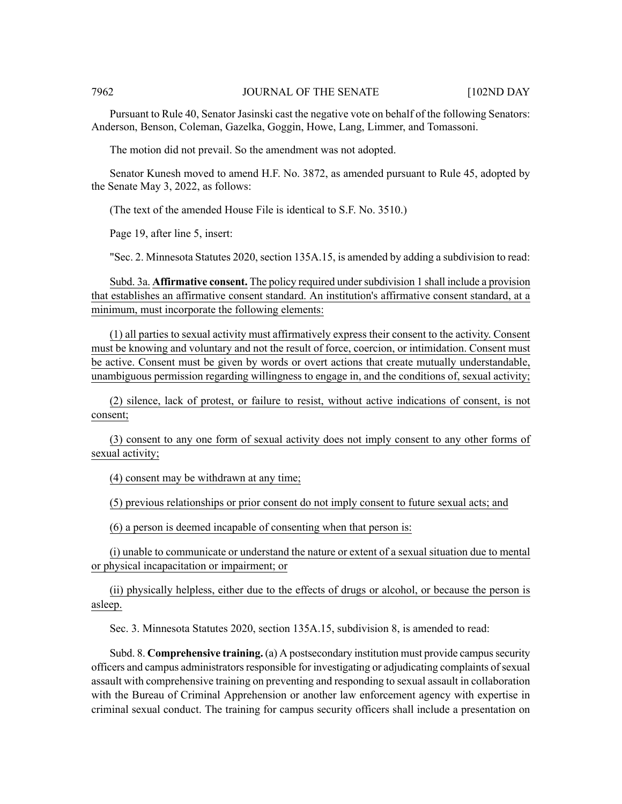### 7962 JOURNAL OF THE SENATE [102ND DAY

Pursuant to Rule 40, Senator Jasinski cast the negative vote on behalf of the following Senators: Anderson, Benson, Coleman, Gazelka, Goggin, Howe, Lang, Limmer, and Tomassoni.

The motion did not prevail. So the amendment was not adopted.

Senator Kunesh moved to amend H.F. No. 3872, as amended pursuant to Rule 45, adopted by the Senate May 3, 2022, as follows:

(The text of the amended House File is identical to S.F. No. 3510.)

Page 19, after line 5, insert:

"Sec. 2. Minnesota Statutes 2020, section 135A.15, is amended by adding a subdivision to read:

Subd. 3a. **Affirmative consent.** The policy required undersubdivision 1 shall include a provision that establishes an affirmative consent standard. An institution's affirmative consent standard, at a minimum, must incorporate the following elements:

(1) all parties to sexual activity must affirmatively express their consent to the activity. Consent must be knowing and voluntary and not the result of force, coercion, or intimidation. Consent must be active. Consent must be given by words or overt actions that create mutually understandable, unambiguous permission regarding willingness to engage in, and the conditions of, sexual activity;

(2) silence, lack of protest, or failure to resist, without active indications of consent, is not consent;

(3) consent to any one form of sexual activity does not imply consent to any other forms of sexual activity;

(4) consent may be withdrawn at any time;

(5) previous relationships or prior consent do not imply consent to future sexual acts; and

(6) a person is deemed incapable of consenting when that person is:

(i) unable to communicate or understand the nature or extent of a sexual situation due to mental or physical incapacitation or impairment; or

(ii) physically helpless, either due to the effects of drugs or alcohol, or because the person is asleep.

Sec. 3. Minnesota Statutes 2020, section 135A.15, subdivision 8, is amended to read:

Subd. 8. **Comprehensive training.** (a) A postsecondary institution must provide campus security officers and campus administrators responsible for investigating or adjudicating complaints of sexual assault with comprehensive training on preventing and responding to sexual assault in collaboration with the Bureau of Criminal Apprehension or another law enforcement agency with expertise in criminal sexual conduct. The training for campus security officers shall include a presentation on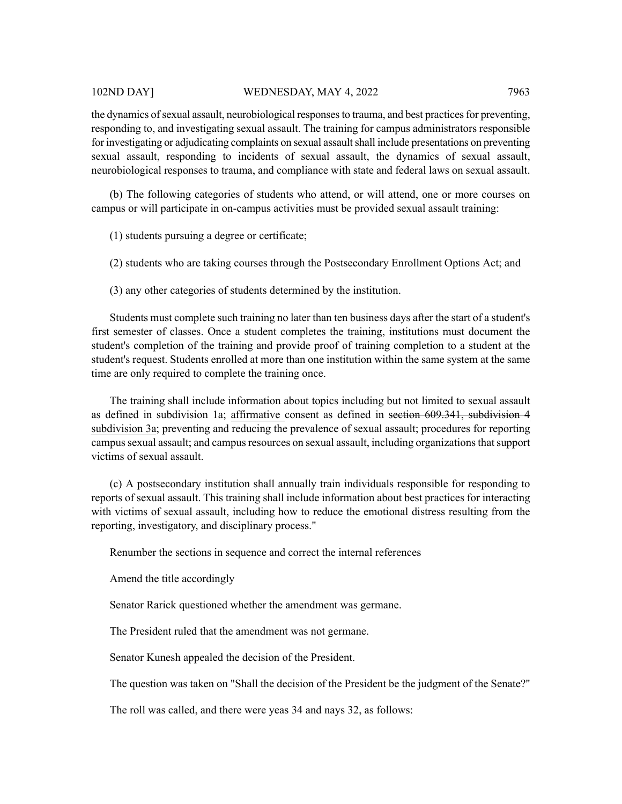## 102ND DAY] WEDNESDAY, MAY 4, 2022 7963

the dynamics of sexual assault, neurobiological responses to trauma, and best practices for preventing, responding to, and investigating sexual assault. The training for campus administrators responsible for investigating or adjudicating complaints on sexual assault shall include presentations on preventing sexual assault, responding to incidents of sexual assault, the dynamics of sexual assault, neurobiological responses to trauma, and compliance with state and federal laws on sexual assault.

(b) The following categories of students who attend, or will attend, one or more courses on campus or will participate in on-campus activities must be provided sexual assault training:

(1) students pursuing a degree or certificate;

(2) students who are taking courses through the Postsecondary Enrollment Options Act; and

(3) any other categories of students determined by the institution.

Students must complete such training no later than ten business days after the start of a student's first semester of classes. Once a student completes the training, institutions must document the student's completion of the training and provide proof of training completion to a student at the student's request. Students enrolled at more than one institution within the same system at the same time are only required to complete the training once.

The training shall include information about topics including but not limited to sexual assault as defined in subdivision 1a; affirmative consent as defined in section 609.341, subdivision 4 subdivision 3a; preventing and reducing the prevalence of sexual assault; procedures for reporting campus sexual assault; and campus resources on sexual assault, including organizations that support victims of sexual assault.

(c) A postsecondary institution shall annually train individuals responsible for responding to reports of sexual assault. This training shall include information about best practices for interacting with victims of sexual assault, including how to reduce the emotional distress resulting from the reporting, investigatory, and disciplinary process."

Renumber the sections in sequence and correct the internal references

Amend the title accordingly

Senator Rarick questioned whether the amendment was germane.

The President ruled that the amendment was not germane.

Senator Kunesh appealed the decision of the President.

The question was taken on "Shall the decision of the President be the judgment of the Senate?"

The roll was called, and there were yeas 34 and nays 32, as follows: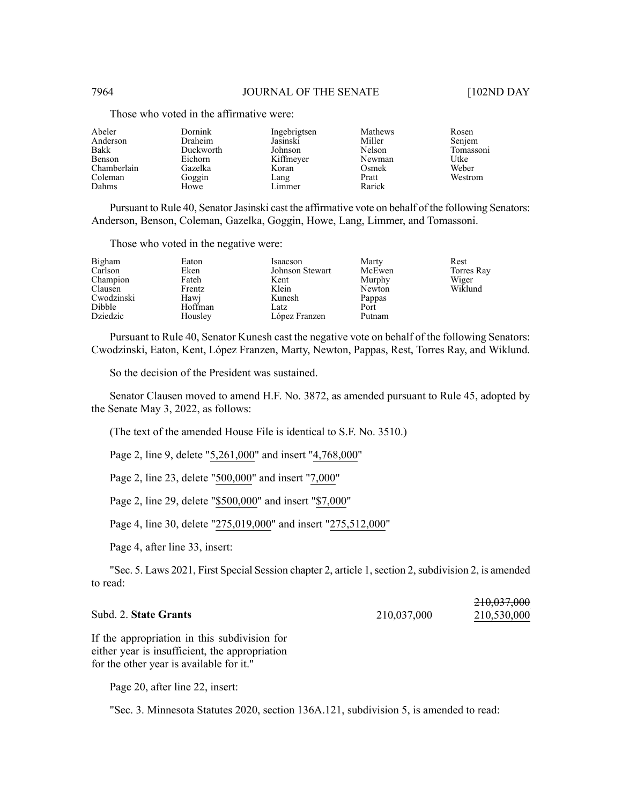| Abeler      | Dornink   | Ingebrigtsen | Mathews | Rosen     |
|-------------|-----------|--------------|---------|-----------|
| Anderson    | Draheim   | Jasinski     | Miller  | Senjem    |
| Bakk        | Duckworth | Johnson      | Nelson  | Tomassoni |
| Benson      | Eichorn   | Kiffmeyer    | Newman  | Utke      |
| Chamberlain | Gazelka   | Koran        | Osmek   | Weber     |
| Coleman     | Goggin    | Lang         | Pratt   | Westrom   |
| Dahms       | Howe      | Limmer       | Rarick  |           |

Those who voted in the affirmative were:

Pursuant to Rule 40, Senator Jasinski cast the affirmative vote on behalf of the following Senators: Anderson, Benson, Coleman, Gazelka, Goggin, Howe, Lang, Limmer, and Tomassoni.

Those who voted in the negative were:

| Bigham<br>Carlson<br>Champion<br>Clausen<br>Cwodzinski<br>Dibble | Eaton<br>Eken<br>Fateh<br>Frentz<br>Hawj<br>Hoffman | Isaacson<br>Johnson Stewart<br>Kent<br>Klein<br>Kunesh<br>Latz | Marty<br>McEwen<br>Murphy<br>Newton<br>Pappas<br>Port | Rest<br>Torres Ray<br>Wiger<br>Wiklund |
|------------------------------------------------------------------|-----------------------------------------------------|----------------------------------------------------------------|-------------------------------------------------------|----------------------------------------|
| Dziedzic                                                         | Housley                                             | López Franzen                                                  | Putnam                                                |                                        |

Pursuant to Rule 40, Senator Kunesh cast the negative vote on behalf of the following Senators: Cwodzinski, Eaton, Kent, López Franzen, Marty, Newton, Pappas, Rest, Torres Ray, and Wiklund.

So the decision of the President was sustained.

Senator Clausen moved to amend H.F. No. 3872, as amended pursuant to Rule 45, adopted by the Senate May 3, 2022, as follows:

(The text of the amended House File is identical to S.F. No. 3510.)

Page 2, line 9, delete "5,261,000" and insert "4,768,000"

Page 2, line 23, delete "500,000" and insert "7,000"

Page 2, line 29, delete "\$500,000" and insert "\$7,000"

Page 4, line 30, delete "275,019,000" and insert "275,512,000"

Page 4, after line 33, insert:

"Sec. 5. Laws 2021, First Special Session chapter 2, article 1, section 2, subdivision 2, is amended to read:

## Subd. 2. **State Grants** 210,037,000

210,037,000<br>210,530,000

If the appropriation in this subdivision for either year is insufficient, the appropriation for the other year is available for it."

Page 20, after line 22, insert:

"Sec. 3. Minnesota Statutes 2020, section 136A.121, subdivision 5, is amended to read: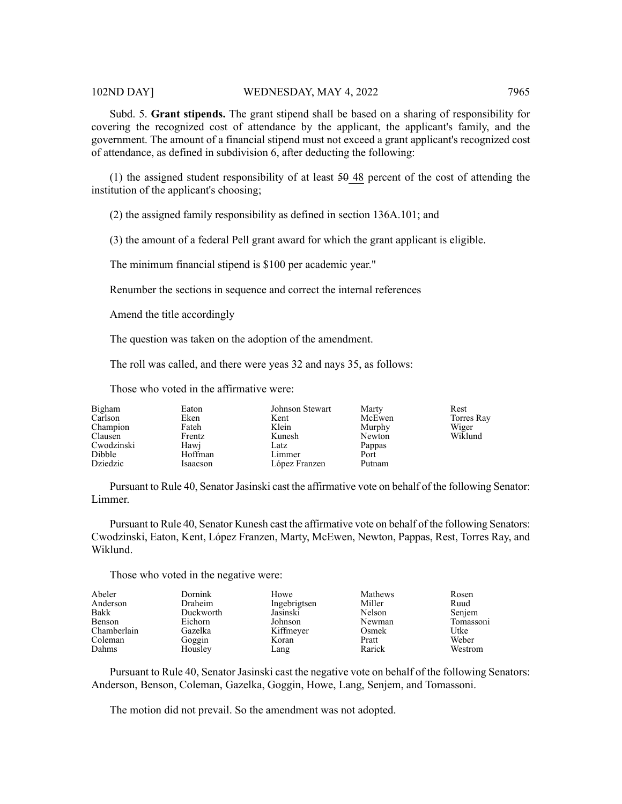Subd. 5. **Grant stipends.** The grant stipend shall be based on a sharing of responsibility for covering the recognized cost of attendance by the applicant, the applicant's family, and the government. The amount of a financial stipend must not exceed a grant applicant's recognized cost of attendance, as defined in subdivision 6, after deducting the following:

(1) the assigned student responsibility of at least  $50-48$  percent of the cost of attending the institution of the applicant's choosing;

(2) the assigned family responsibility as defined in section 136A.101; and

(3) the amount of a federal Pell grant award for which the grant applicant is eligible.

The minimum financial stipend is \$100 per academic year."

Renumber the sections in sequence and correct the internal references

Amend the title accordingly

The question was taken on the adoption of the amendment.

The roll was called, and there were yeas 32 and nays 35, as follows:

Those who voted in the affirmative were:

| Bigham     | Eaton    | Johnson Stewart | Marty  | Rest       |
|------------|----------|-----------------|--------|------------|
| Carlson    | Eken     | Kent            | McEwen | Torres Ray |
| Champion   | Fateh    | Klein           | Murphy | Wiger      |
| Clausen    | Frentz   | Kunesh          | Newton | Wiklund    |
| Cwodzinski | Hawj     | Latz            | Pappas |            |
| Dibble     | Hoffman  | Limmer          | Port   |            |
| Dziedzic   | Isaacson | López Franzen   | Putnam |            |

Pursuant to Rule 40, Senator Jasinski cast the affirmative vote on behalf of the following Senator: Limmer.

Pursuant to Rule 40, Senator Kunesh cast the affirmative vote on behalf of the following Senators: Cwodzinski, Eaton, Kent, López Franzen, Marty, McEwen, Newton, Pappas, Rest, Torres Ray, and Wiklund.

Those who voted in the negative were:

| Abeler      | Dornink        | Howe         | Mathews | Rosen     |
|-------------|----------------|--------------|---------|-----------|
| Anderson    | <b>Draheim</b> | Ingebrigtsen | Miller  | Ruud      |
| Bakk        | Duckworth      | Jasinski     | Nelson  | Senjem    |
| Benson      | Eichorn        | Johnson      | Newman  | Tomassoni |
| Chamberlain | Gazelka        | Kiffmeyer    | Osmek   | Utke      |
| Coleman     | Goggin         | Koran        | Pratt   | Weber     |
| Dahms       | Housley        | Lang         | Rarick  | Westrom   |

Pursuant to Rule 40, Senator Jasinski cast the negative vote on behalf of the following Senators: Anderson, Benson, Coleman, Gazelka, Goggin, Howe, Lang, Senjem, and Tomassoni.

The motion did not prevail. So the amendment was not adopted.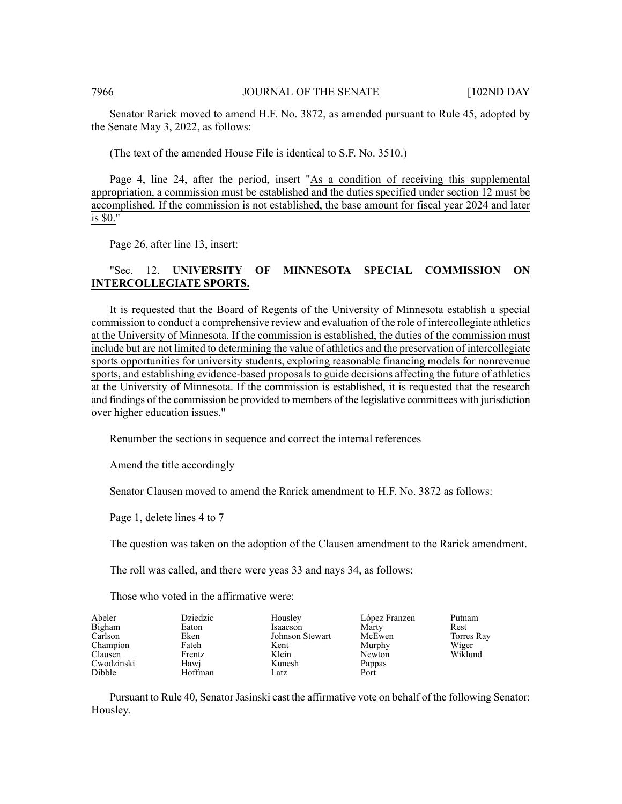Senator Rarick moved to amend H.F. No. 3872, as amended pursuant to Rule 45, adopted by the Senate May 3, 2022, as follows:

(The text of the amended House File is identical to S.F. No. 3510.)

Page 4, line 24, after the period, insert "As a condition of receiving this supplemental appropriation, a commission must be established and the duties specified under section 12 must be accomplished. If the commission is not established, the base amount for fiscal year 2024 and later is \$0."

Page 26, after line 13, insert:

# "Sec. 12. **UNIVERSITY OF MINNESOTA SPECIAL COMMISSION ON INTERCOLLEGIATE SPORTS.**

It is requested that the Board of Regents of the University of Minnesota establish a special commission to conduct a comprehensive review and evaluation of the role of intercollegiate athletics at the University of Minnesota. If the commission is established, the duties of the commission must include but are not limited to determining the value of athletics and the preservation of intercollegiate sports opportunities for university students, exploring reasonable financing models for nonrevenue sports, and establishing evidence-based proposals to guide decisions affecting the future of athletics at the University of Minnesota. If the commission is established, it is requested that the research and findings of the commission be provided to members of the legislative committees with jurisdiction over higher education issues."

Renumber the sections in sequence and correct the internal references

Amend the title accordingly

Senator Clausen moved to amend the Rarick amendment to H.F. No. 3872 as follows:

Page 1, delete lines 4 to 7

The question was taken on the adoption of the Clausen amendment to the Rarick amendment.

The roll was called, and there were yeas 33 and nays 34, as follows:

Those who voted in the affirmative were:

| Abeler     | Dziedzic | Housley         | López Franzen | Putnam     |
|------------|----------|-----------------|---------------|------------|
| Bigham     | Eaton    | Isaacson        | Marty         | Rest       |
| Carlson    | Eken     | Johnson Stewart | McEwen        | Torres Ray |
| Champion   | Fateh    | Kent            | Murphy        | Wiger      |
| Clausen    | Frentz   | Klein           | Newton        | Wiklund    |
| Cwodzinski | Hawj     | Kunesh          | Pappas        |            |
| Dibble     | Hoffman  | Latz            | Port          |            |

Pursuant to Rule 40, Senator Jasinski cast the affirmative vote on behalf of the following Senator: Housley.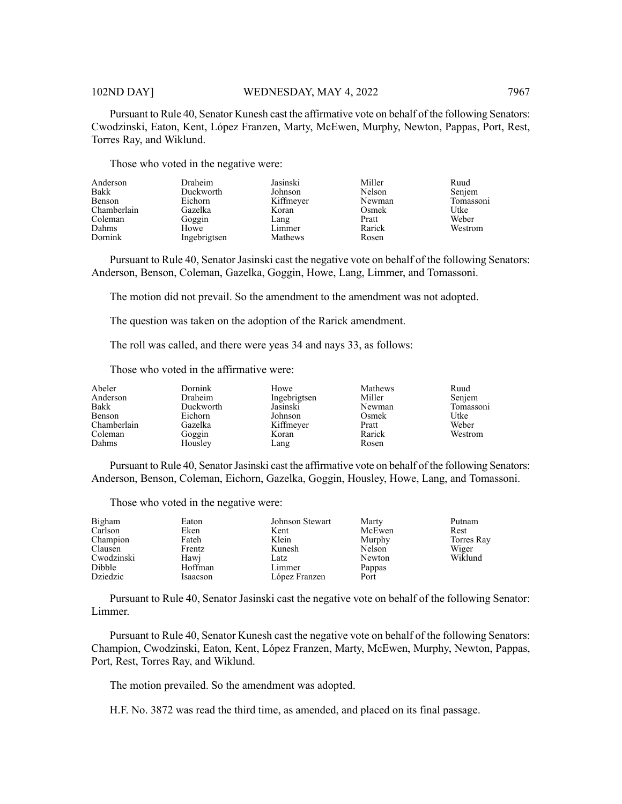Pursuant to Rule 40, Senator Kunesh cast the affirmative vote on behalf of the following Senators: Cwodzinski, Eaton, Kent, López Franzen, Marty, McEwen, Murphy, Newton, Pappas, Port, Rest, Torres Ray, and Wiklund.

Those who voted in the negative were:

| Anderson    | Draheim      | Jasinski  | Miller | Ruud      |
|-------------|--------------|-----------|--------|-----------|
| Bakk        | Duckworth    | Johnson   | Nelson | Senjem    |
| Benson      | Eichorn      | Kiffmeyer | Newman | Tomassoni |
| Chamberlain | Gazelka      | Koran     | Osmek  | Utke      |
| Coleman     | Goggin       | Lang      | Pratt  | Weber     |
| Dahms       | Howe         | Limmer    | Rarick | Westrom   |
| Dornink     | Ingebrigtsen | Mathews   | Rosen  |           |

Pursuant to Rule 40, Senator Jasinski cast the negative vote on behalf of the following Senators: Anderson, Benson, Coleman, Gazelka, Goggin, Howe, Lang, Limmer, and Tomassoni.

The motion did not prevail. So the amendment to the amendment was not adopted.

The question was taken on the adoption of the Rarick amendment.

The roll was called, and there were yeas 34 and nays 33, as follows:

Those who voted in the affirmative were:

| Anderson<br>Bakk<br>Benson<br>Chamberlain<br>Coleman<br>Dahms | Draheim<br>Duckworth<br>Eichorn<br>Gazelka<br>Goggin<br>Housley | Ingebrigtsen<br>Jasinski<br>Johnson<br>Kiffmeyer<br>Koran<br>Lang | Miller<br>Newman<br>Osmek<br>Pratt<br>Rarick<br>Rosen | Senjem<br>Tomassoni<br>Utke<br>Weber<br>Westrom |
|---------------------------------------------------------------|-----------------------------------------------------------------|-------------------------------------------------------------------|-------------------------------------------------------|-------------------------------------------------|
|---------------------------------------------------------------|-----------------------------------------------------------------|-------------------------------------------------------------------|-------------------------------------------------------|-------------------------------------------------|

Pursuant to Rule 40, Senator Jasinski cast the affirmative vote on behalf of the following Senators: Anderson, Benson, Coleman, Eichorn, Gazelka, Goggin, Housley, Howe, Lang, and Tomassoni.

Those who voted in the negative were:

| Bigham<br>Carlson<br>Champion<br>Clausen<br>Cwodzinski<br>Dibble | Eaton<br>Eken<br>Fateh<br>Frentz<br>Hawi<br>Hoffman | Johnson Stewart<br>Kent<br>Klein<br>Kunesh<br>Latz<br>Limmer | Marty<br>McEwen<br>Murphy<br>Nelson<br>Newton<br>Pappas | Putnam<br>Rest<br>Torres Ray<br>Wiger<br>Wiklund |
|------------------------------------------------------------------|-----------------------------------------------------|--------------------------------------------------------------|---------------------------------------------------------|--------------------------------------------------|
| Dziedzic                                                         | Isaacson                                            | López Franzen                                                | Port                                                    |                                                  |

Pursuant to Rule 40, Senator Jasinski cast the negative vote on behalf of the following Senator: Limmer.

Pursuant to Rule 40, Senator Kunesh cast the negative vote on behalf of the following Senators: Champion, Cwodzinski, Eaton, Kent, López Franzen, Marty, McEwen, Murphy, Newton, Pappas, Port, Rest, Torres Ray, and Wiklund.

The motion prevailed. So the amendment was adopted.

H.F. No. 3872 was read the third time, as amended, and placed on its final passage.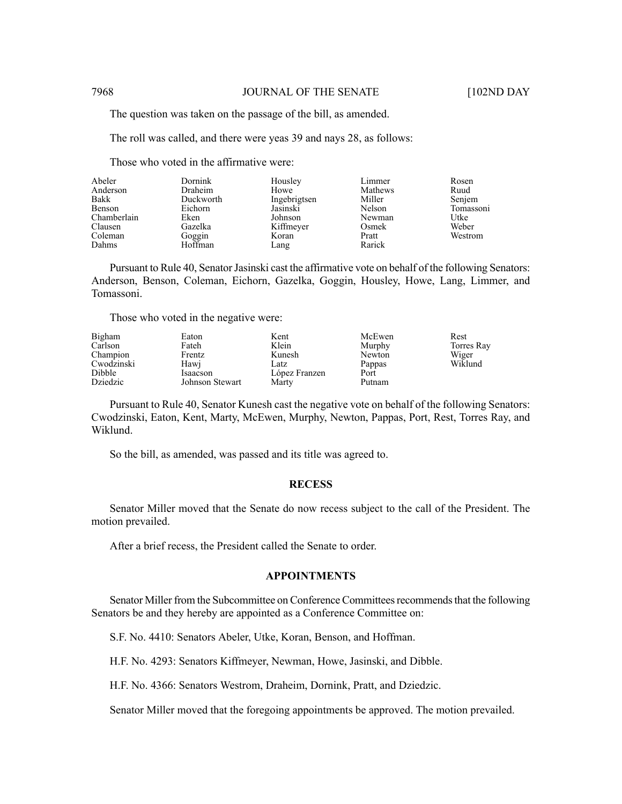The question was taken on the passage of the bill, as amended.

The roll was called, and there were yeas 39 and nays 28, as follows:

Those who voted in the affirmative were:

| Abeler<br>Dornink<br>Draheim<br>Anderson<br>Bakk<br>Duckworth<br>Benson<br>Eichorn<br>Chamberlain<br>Eken<br>Clausen<br>Gazelka<br>Coleman<br>Goggin<br>Hoffman<br>Dahms | Housley<br>Howe<br>Ingebrigtsen<br>Jasinski<br>Johnson<br>Kiffmeyer<br>Koran<br>Lang | Limmer<br>Mathews<br>Miller<br>Nelson<br>Newman<br>Osmek<br>Pratt<br>Rarick | Rosen<br>Ruud<br>Senjem<br>Tomassoni<br>Utke<br>Weber<br>Westrom |
|--------------------------------------------------------------------------------------------------------------------------------------------------------------------------|--------------------------------------------------------------------------------------|-----------------------------------------------------------------------------|------------------------------------------------------------------|
|--------------------------------------------------------------------------------------------------------------------------------------------------------------------------|--------------------------------------------------------------------------------------|-----------------------------------------------------------------------------|------------------------------------------------------------------|

Pursuant to Rule 40, Senator Jasinski cast the affirmative vote on behalf of the following Senators: Anderson, Benson, Coleman, Eichorn, Gazelka, Goggin, Housley, Howe, Lang, Limmer, and Tomassoni.

Those who voted in the negative were:

| Bigham     | Eaton           | Kent          | McEwen | Rest       |
|------------|-----------------|---------------|--------|------------|
| Carlson    | Fateh           | Klein         | Murphy | Torres Ray |
| Champion   | Frentz          | Kunesh        | Newton | Wiger      |
| Cwodzinski | Hawi            | Latz          | Pappas | Wiklund    |
| Dibble     | Isaacson        | López Franzen | Port   |            |
| Dziedzic   | Johnson Stewart | Marty         | Putnam |            |

Pursuant to Rule 40, Senator Kunesh cast the negative vote on behalf of the following Senators: Cwodzinski, Eaton, Kent, Marty, McEwen, Murphy, Newton, Pappas, Port, Rest, Torres Ray, and Wiklund.

So the bill, as amended, was passed and its title was agreed to.

#### **RECESS**

Senator Miller moved that the Senate do now recess subject to the call of the President. The motion prevailed.

After a brief recess, the President called the Senate to order.

## **APPOINTMENTS**

Senator Miller from the Subcommittee on Conference Committees recommends that the following Senators be and they hereby are appointed as a Conference Committee on:

S.F. No. 4410: Senators Abeler, Utke, Koran, Benson, and Hoffman.

H.F. No. 4293: Senators Kiffmeyer, Newman, Howe, Jasinski, and Dibble.

H.F. No. 4366: Senators Westrom, Draheim, Dornink, Pratt, and Dziedzic.

Senator Miller moved that the foregoing appointments be approved. The motion prevailed.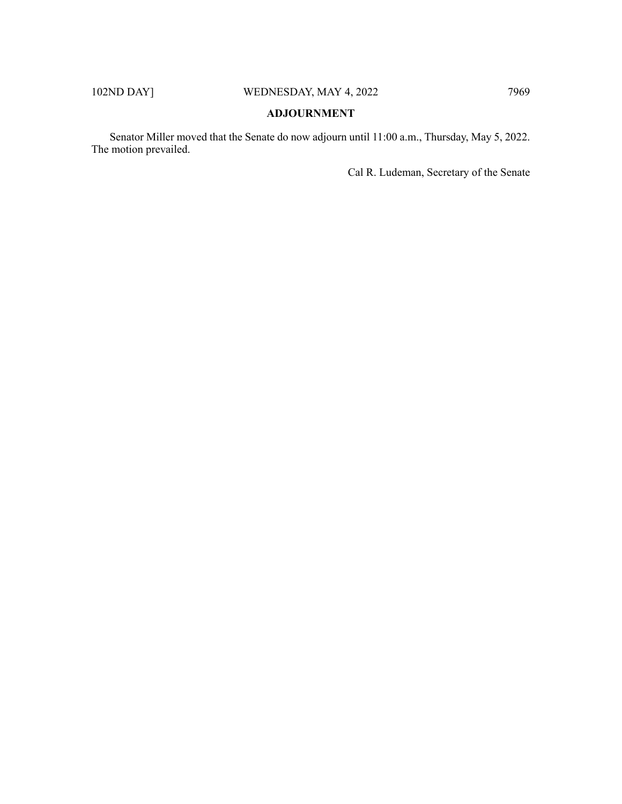# **ADJOURNMENT**

Senator Miller moved that the Senate do now adjourn until 11:00 a.m., Thursday, May 5, 2022. The motion prevailed.

Cal R. Ludeman, Secretary of the Senate